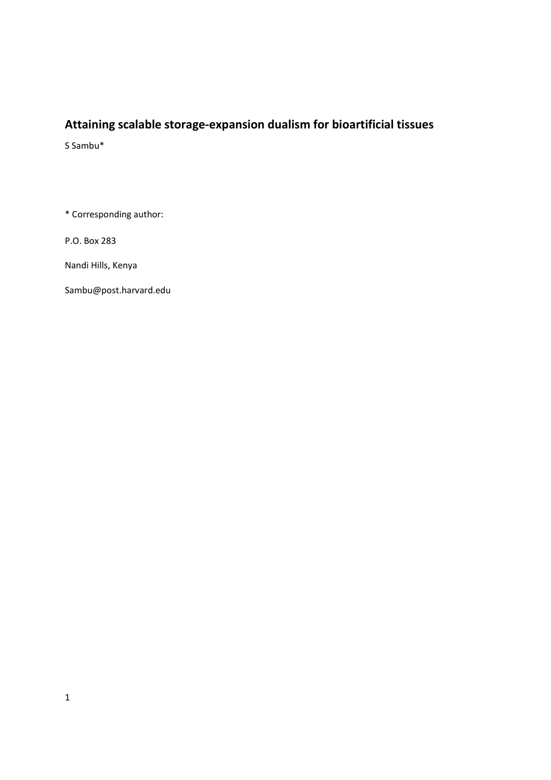# **Attaining scalable storage-expansion dualism for bioartificial tissues**

S Sambu\*

\* Corresponding author:

P.O. Box 283

Nandi Hills, Kenya

Sambu@post.harvard.edu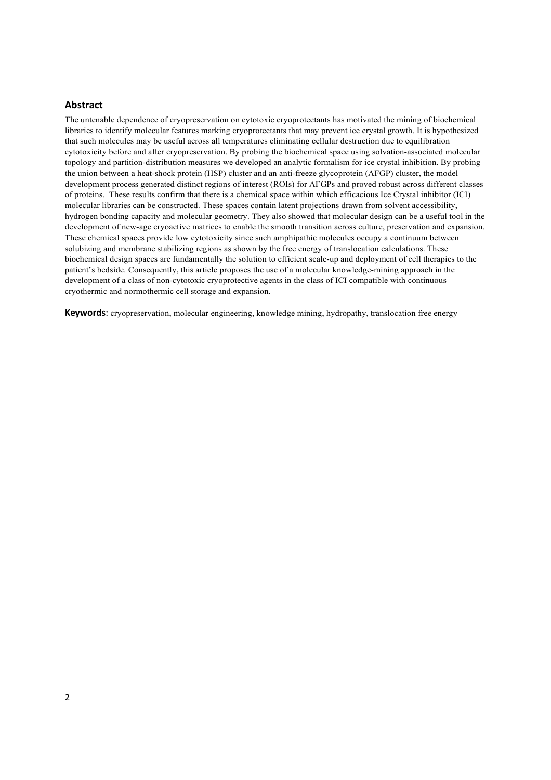#### **Abstract**

The untenable dependence of cryopreservation on cytotoxic cryoprotectants has motivated the mining of biochemical libraries to identify molecular features marking cryoprotectants that may prevent ice crystal growth. It is hypothesized that such molecules may be useful across all temperatures eliminating cellular destruction due to equilibration cytotoxicity before and after cryopreservation. By probing the biochemical space using solvation-associated molecular topology and partition-distribution measures we developed an analytic formalism for ice crystal inhibition. By probing the union between a heat-shock protein (HSP) cluster and an anti-freeze glycoprotein (AFGP) cluster, the model development process generated distinct regions of interest (ROIs) for AFGPs and proved robust across different classes of proteins. These results confirm that there is a chemical space within which efficacious Ice Crystal inhibitor (ICI) molecular libraries can be constructed. These spaces contain latent projections drawn from solvent accessibility, hydrogen bonding capacity and molecular geometry. They also showed that molecular design can be a useful tool in the development of new-age cryoactive matrices to enable the smooth transition across culture, preservation and expansion. These chemical spaces provide low cytotoxicity since such amphipathic molecules occupy a continuum between solubizing and membrane stabilizing regions as shown by the free energy of translocation calculations. These biochemical design spaces are fundamentally the solution to efficient scale-up and deployment of cell therapies to the patient's bedside. Consequently, this article proposes the use of a molecular knowledge-mining approach in the development of a class of non-cytotoxic cryoprotective agents in the class of ICI compatible with continuous cryothermic and normothermic cell storage and expansion.

**Keywords**: cryopreservation, molecular engineering, knowledge mining, hydropathy, translocation free energy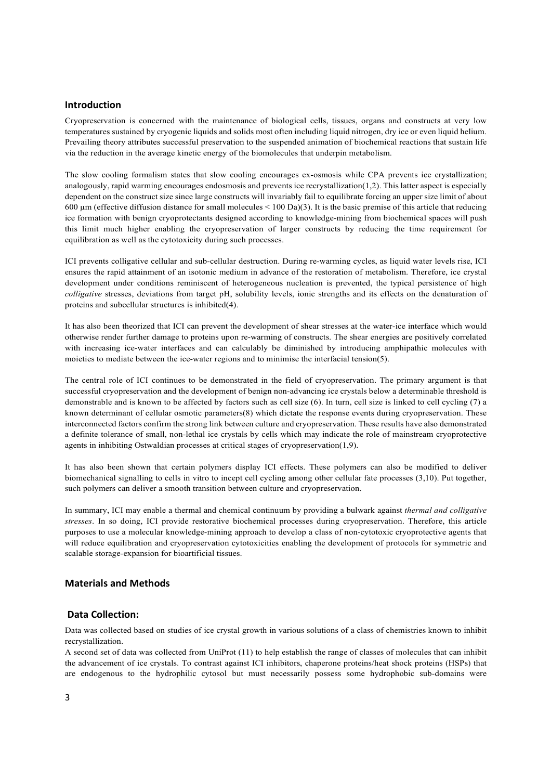#### **Introduction**

Cryopreservation is concerned with the maintenance of biological cells, tissues, organs and constructs at very low temperatures sustained by cryogenic liquids and solids most often including liquid nitrogen, dry ice or even liquid helium. Prevailing theory attributes successful preservation to the suspended animation of biochemical reactions that sustain life via the reduction in the average kinetic energy of the biomolecules that underpin metabolism.

The slow cooling formalism states that slow cooling encourages ex-osmosis while CPA prevents ice crystallization; analogously, rapid warming encourages endosmosis and prevents ice recrystallization(1,2). This latter aspect is especially dependent on the construct size since large constructs will invariably fail to equilibrate forcing an upper size limit of about 600  $\mu$ m (effective diffusion distance for small molecules < 100 Da)(3). It is the basic premise of this article that reducing ice formation with benign cryoprotectants designed according to knowledge-mining from biochemical spaces will push this limit much higher enabling the cryopreservation of larger constructs by reducing the time requirement for equilibration as well as the cytotoxicity during such processes.

ICI prevents colligative cellular and sub-cellular destruction. During re-warming cycles, as liquid water levels rise, ICI ensures the rapid attainment of an isotonic medium in advance of the restoration of metabolism. Therefore, ice crystal development under conditions reminiscent of heterogeneous nucleation is prevented, the typical persistence of high *colligative* stresses, deviations from target pH, solubility levels, ionic strengths and its effects on the denaturation of proteins and subcellular structures is inhibited(4).

It has also been theorized that ICI can prevent the development of shear stresses at the water-ice interface which would otherwise render further damage to proteins upon re-warming of constructs. The shear energies are positively correlated with increasing ice-water interfaces and can calculably be diminished by introducing amphipathic molecules with moieties to mediate between the ice-water regions and to minimise the interfacial tension(5).

The central role of ICI continues to be demonstrated in the field of cryopreservation. The primary argument is that successful cryopreservation and the development of benign non-advancing ice crystals below a determinable threshold is demonstrable and is known to be affected by factors such as cell size (6). In turn, cell size is linked to cell cycling (7) a known determinant of cellular osmotic parameters(8) which dictate the response events during cryopreservation. These interconnected factors confirm the strong link between culture and cryopreservation. These results have also demonstrated a definite tolerance of small, non-lethal ice crystals by cells which may indicate the role of mainstream cryoprotective agents in inhibiting Ostwaldian processes at critical stages of cryopreservation(1,9).

It has also been shown that certain polymers display ICI effects. These polymers can also be modified to deliver biomechanical signalling to cells in vitro to incept cell cycling among other cellular fate processes (3,10). Put together, such polymers can deliver a smooth transition between culture and cryopreservation.

In summary, ICI may enable a thermal and chemical continuum by providing a bulwark against *thermal and colligative stresses*. In so doing, ICI provide restorative biochemical processes during cryopreservation. Therefore, this article purposes to use a molecular knowledge-mining approach to develop a class of non-cytotoxic cryoprotective agents that will reduce equilibration and cryopreservation cytotoxicities enabling the development of protocols for symmetric and scalable storage-expansion for bioartificial tissues.

# **Materials and Methods**

# **Data Collection:**

Data was collected based on studies of ice crystal growth in various solutions of a class of chemistries known to inhibit recrystallization.

A second set of data was collected from UniProt (11) to help establish the range of classes of molecules that can inhibit the advancement of ice crystals. To contrast against ICI inhibitors, chaperone proteins/heat shock proteins (HSPs) that are endogenous to the hydrophilic cytosol but must necessarily possess some hydrophobic sub-domains were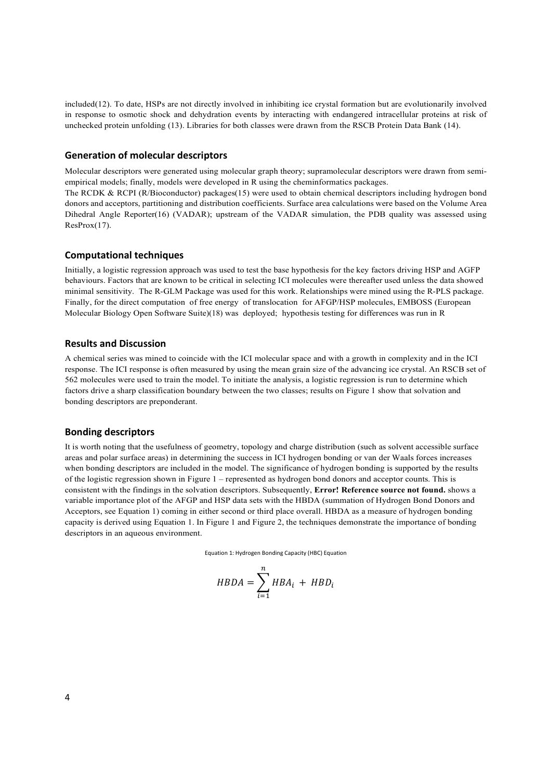included(12). To date, HSPs are not directly involved in inhibiting ice crystal formation but are evolutionarily involved in response to osmotic shock and dehydration events by interacting with endangered intracellular proteins at risk of unchecked protein unfolding (13). Libraries for both classes were drawn from the RSCB Protein Data Bank (14).

#### **Generation of molecular descriptors**

Molecular descriptors were generated using molecular graph theory; supramolecular descriptors were drawn from semiempirical models; finally, models were developed in R using the cheminformatics packages.

The RCDK & RCPI (R/Bioconductor) packages(15) were used to obtain chemical descriptors including hydrogen bond donors and acceptors, partitioning and distribution coefficients. Surface area calculations were based on the Volume Area Dihedral Angle Reporter(16) (VADAR); upstream of the VADAR simulation, the PDB quality was assessed using ResProx(17).

#### **Computational techniques**

Initially, a logistic regression approach was used to test the base hypothesis for the key factors driving HSP and AGFP behaviours. Factors that are known to be critical in selecting ICI molecules were thereafter used unless the data showed minimal sensitivity. The R-GLM Package was used for this work. Relationships were mined using the R-PLS package. Finally, for the direct computation of free energy of translocation for AFGP/HSP molecules, EMBOSS (European Molecular Biology Open Software Suite)(18) was deployed; hypothesis testing for differences was run in R

## **Results and Discussion**

A chemical series was mined to coincide with the ICI molecular space and with a growth in complexity and in the ICI response. The ICI response is often measured by using the mean grain size of the advancing ice crystal. An RSCB set of 562 molecules were used to train the model. To initiate the analysis, a logistic regression is run to determine which factors drive a sharp classification boundary between the two classes; results on Figure 1 show that solvation and bonding descriptors are preponderant.

#### **Bonding descriptors**

It is worth noting that the usefulness of geometry, topology and charge distribution (such as solvent accessible surface areas and polar surface areas) in determining the success in ICI hydrogen bonding or van der Waals forces increases when bonding descriptors are included in the model. The significance of hydrogen bonding is supported by the results of the logistic regression shown in Figure 1 – represented as hydrogen bond donors and acceptor counts. This is consistent with the findings in the solvation descriptors. Subsequently, **Error! Reference source not found.** shows a variable importance plot of the AFGP and HSP data sets with the HBDA (summation of Hydrogen Bond Donors and Acceptors, see Equation 1) coming in either second or third place overall. HBDA as a measure of hydrogen bonding capacity is derived using Equation 1. In Figure 1 and Figure 2, the techniques demonstrate the importance of bonding descriptors in an aqueous environment.

Equation 1: Hydrogen Bonding Capacity (HBC) Equation

$$
HBDA = \sum_{i=1}^{n} HBA_i + HBD_i
$$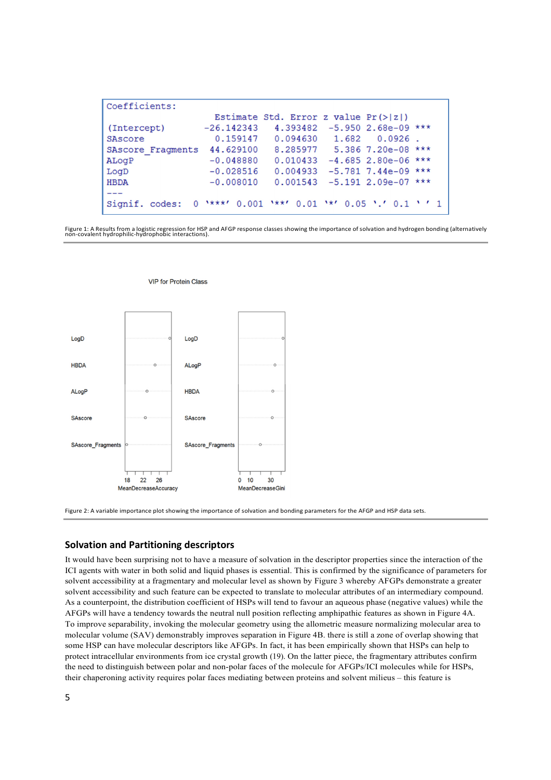| Coefficients:               |                                                          |                                        |                                 |  |
|-----------------------------|----------------------------------------------------------|----------------------------------------|---------------------------------|--|
|                             |                                                          | Estimate Std. Error z value $Pr(> z )$ |                                 |  |
| (Intercept)                 | $-26.142343$                                             |                                        | 4.393482 -5.950 2.68e-09 ***    |  |
| SAscore                     | 0.159147                                                 |                                        | $0.094630$ $1.682$ $0.0926$ .   |  |
| SAscore Fragments 44.629100 |                                                          |                                        | 8.285977 5.386 7.20e-08 ***     |  |
| ALogP                       | $-0.048880$                                              | 0.010433                               | $-4.685$ 2.80e-06 ***           |  |
| LogD                        | $-0.028516$                                              |                                        | $0.004933 - 5.7817.44e-09$ ***  |  |
| <b>HBDA</b>                 | $-0.008010$                                              |                                        | $0.001543 - 5.191 2.09e-07$ *** |  |
|                             |                                                          |                                        |                                 |  |
| Signif, codes:              | $0$ '***' $0.001$ '**' $0.01$ '*' $0.05$ '.' $0.1$ ' ' 1 |                                        |                                 |  |

Figure 1: A Results from a logistic regression for HSP and AFGP response classes showing the importance of solvation and hydrogen bonding (alternatively non-covalent hydrophilic-hydrophobic interactions).



**VIP for Protein Class** 

Figure 2: A variable importance plot showing the importance of solvation and bonding parameters for the AFGP and HSP data sets.

## **Solvation and Partitioning descriptors**

It would have been surprising not to have a measure of solvation in the descriptor properties since the interaction of the ICI agents with water in both solid and liquid phases is essential. This is confirmed by the significance of parameters for solvent accessibility at a fragmentary and molecular level as shown by Figure 3 whereby AFGPs demonstrate a greater solvent accessibility and such feature can be expected to translate to molecular attributes of an intermediary compound. As a counterpoint, the distribution coefficient of HSPs will tend to favour an aqueous phase (negative values) while the AFGPs will have a tendency towards the neutral null position reflecting amphipathic features as shown in Figure 4A. To improve separability, invoking the molecular geometry using the allometric measure normalizing molecular area to molecular volume (SAV) demonstrably improves separation in Figure 4B. there is still a zone of overlap showing that some HSP can have molecular descriptors like AFGPs. In fact, it has been empirically shown that HSPs can help to protect intracellular environments from ice crystal growth (19). On the latter piece, the fragmentary attributes confirm the need to distinguish between polar and non-polar faces of the molecule for AFGPs/ICI molecules while for HSPs, their chaperoning activity requires polar faces mediating between proteins and solvent milieus – this feature is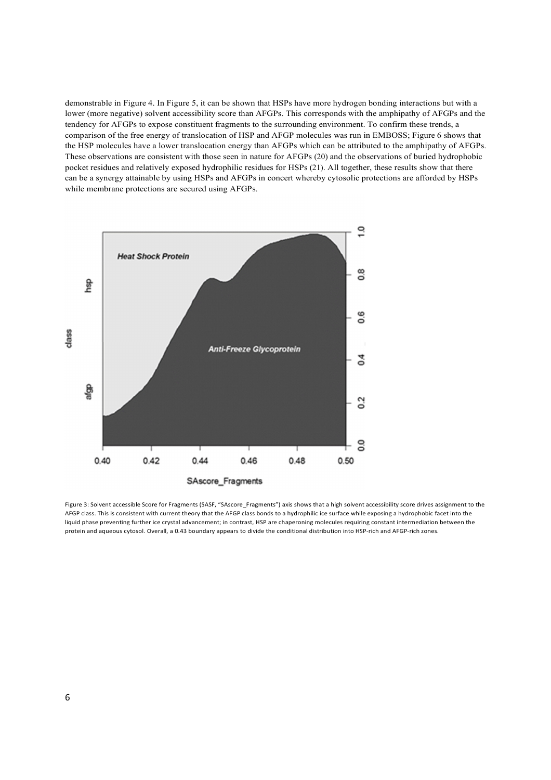demonstrable in Figure 4. In Figure 5, it can be shown that HSPs have more hydrogen bonding interactions but with a lower (more negative) solvent accessibility score than AFGPs. This corresponds with the amphipathy of AFGPs and the tendency for AFGPs to expose constituent fragments to the surrounding environment. To confirm these trends, a comparison of the free energy of translocation of HSP and AFGP molecules was run in EMBOSS; Figure 6 shows that the HSP molecules have a lower translocation energy than AFGPs which can be attributed to the amphipathy of AFGPs. These observations are consistent with those seen in nature for AFGPs (20) and the observations of buried hydrophobic pocket residues and relatively exposed hydrophilic residues for HSPs (21). All together, these results show that there can be a synergy attainable by using HSPs and AFGPs in concert whereby cytosolic protections are afforded by HSPs while membrane protections are secured using AFGPs.



Figure 3: Solvent accessible Score for Fragments (SASF, "SAscore Fragments") axis shows that a high solvent accessibility score drives assignment to the AFGP class. This is consistent with current theory that the AFGP class bonds to a hydrophilic ice surface while exposing a hydrophobic facet into the liquid phase preventing further ice crystal advancement; in contrast, HSP are chaperoning molecules requiring constant intermediation between the protein and aqueous cytosol. Overall, a 0.43 boundary appears to divide the conditional distribution into HSP-rich and AFGP-rich zones.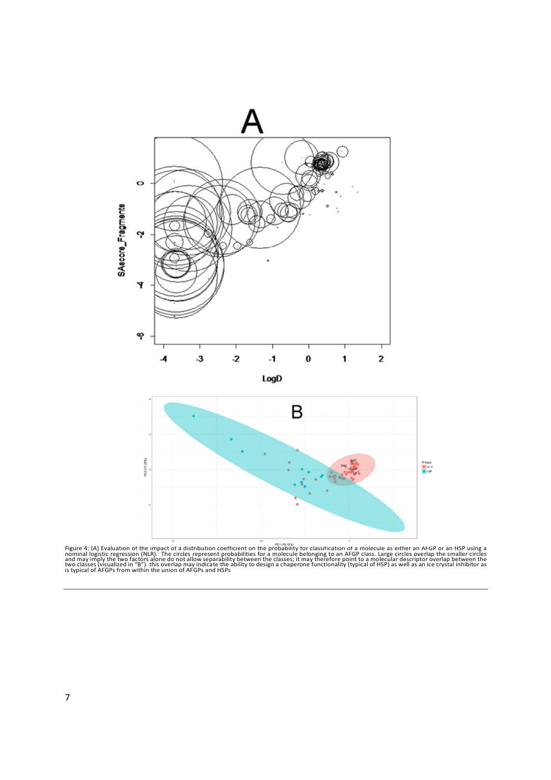

Figure 4: (A) Evaluation of the impact of a distribution coefficient on the probability for classification of a molecule as either an AFGP or an HSP using a<br>nominal logistic regression (NLR). The circles represent probabil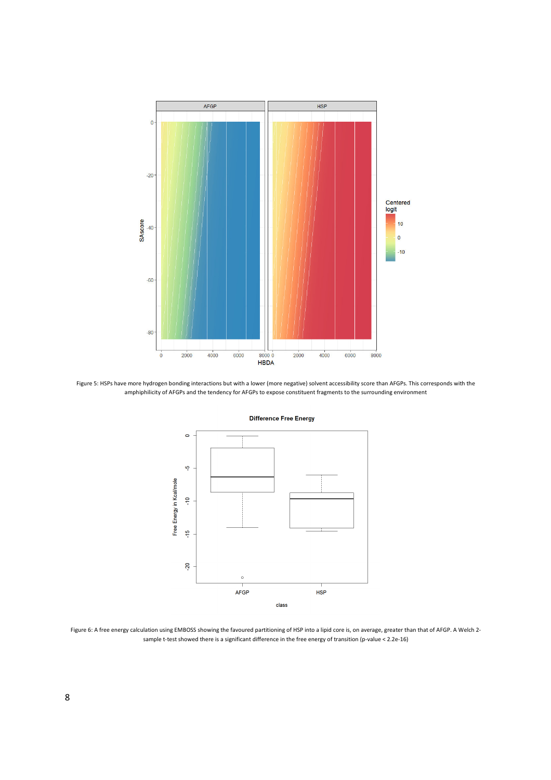

Figure 5: HSPs have more hydrogen bonding interactions but with a lower (more negative) solvent accessibility score than AFGPs. This corresponds with the amphiphilicity of AFGPs and the tendency for AFGPs to expose constituent fragments to the surrounding environment



#### **Difference Free Energy**

Figure 6: A free energy calculation using EMBOSS showing the favoured partitioning of HSP into a lipid core is, on average, greater than that of AFGP. A Welch 2 sample t-test showed there is a significant difference in the free energy of transition (p-value < 2.2e-16)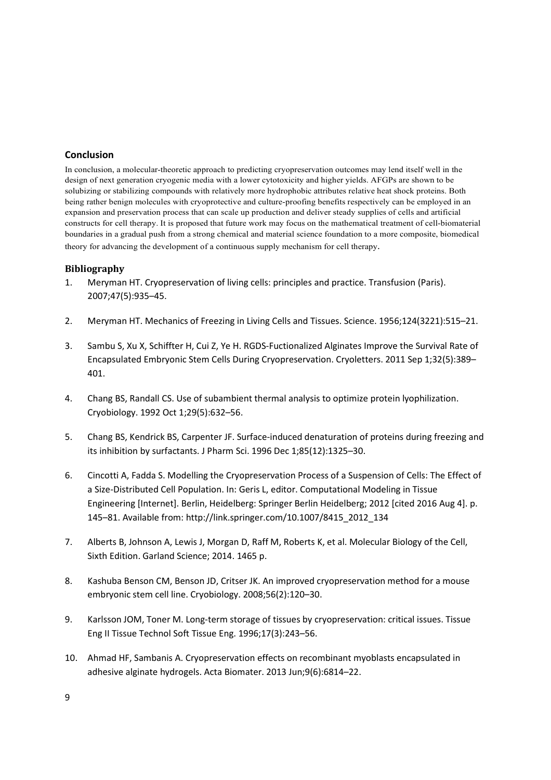# **Conclusion**

In conclusion, a molecular-theoretic approach to predicting cryopreservation outcomes may lend itself well in the design of next generation cryogenic media with a lower cytotoxicity and higher yields. AFGPs are shown to be solubizing or stabilizing compounds with relatively more hydrophobic attributes relative heat shock proteins. Both being rather benign molecules with cryoprotective and culture-proofing benefits respectively can be employed in an expansion and preservation process that can scale up production and deliver steady supplies of cells and artificial constructs for cell therapy. It is proposed that future work may focus on the mathematical treatment of cell-biomaterial boundaries in a gradual push from a strong chemical and material science foundation to a more composite, biomedical theory for advancing the development of a continuous supply mechanism for cell therapy.

# **Bibliography**

- 1. Meryman HT. Cryopreservation of living cells: principles and practice. Transfusion (Paris). 2007;47(5):935–45.
- 2. Meryman HT. Mechanics of Freezing in Living Cells and Tissues. Science. 1956;124(3221):515–21.
- 3. Sambu S, Xu X, Schiffter H, Cui Z, Ye H. RGDS-Fuctionalized Alginates Improve the Survival Rate of Encapsulated Embryonic Stem Cells During Cryopreservation. Cryoletters. 2011 Sep 1;32(5):389– 401.
- 4. Chang BS, Randall CS. Use of subambient thermal analysis to optimize protein lyophilization. Cryobiology. 1992 Oct 1;29(5):632–56.
- 5. Chang BS, Kendrick BS, Carpenter JF. Surface-induced denaturation of proteins during freezing and its inhibition by surfactants. J Pharm Sci. 1996 Dec 1;85(12):1325–30.
- 6. Cincotti A, Fadda S. Modelling the Cryopreservation Process of a Suspension of Cells: The Effect of a Size-Distributed Cell Population. In: Geris L, editor. Computational Modeling in Tissue Engineering [Internet]. Berlin, Heidelberg: Springer Berlin Heidelberg; 2012 [cited 2016 Aug 4]. p. 145–81. Available from: http://link.springer.com/10.1007/8415\_2012\_134
- 7. Alberts B, Johnson A, Lewis J, Morgan D, Raff M, Roberts K, et al. Molecular Biology of the Cell, Sixth Edition. Garland Science; 2014. 1465 p.
- 8. Kashuba Benson CM, Benson JD, Critser JK. An improved cryopreservation method for a mouse embryonic stem cell line. Cryobiology. 2008;56(2):120–30.
- 9. Karlsson JOM, Toner M. Long-term storage of tissues by cryopreservation: critical issues. Tissue Eng II Tissue Technol Soft Tissue Eng. 1996;17(3):243–56.
- 10. Ahmad HF, Sambanis A. Cryopreservation effects on recombinant myoblasts encapsulated in adhesive alginate hydrogels. Acta Biomater. 2013 Jun;9(6):6814–22.